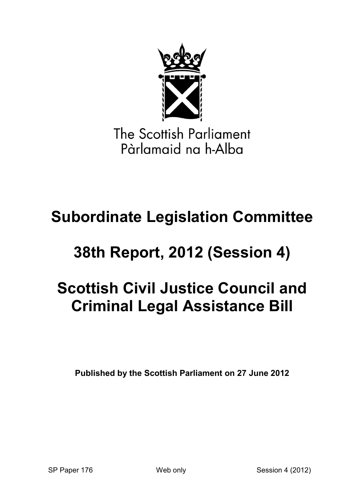

The Scottish Parliament Pàrlamaid na h-Alba

# **Subordinate Legislation Committee**

# **38th Report, 2012 (Session 4)**

# **Scottish Civil Justice Council and Criminal Legal Assistance Bill**

**Published by the Scottish Parliament on 27 June 2012**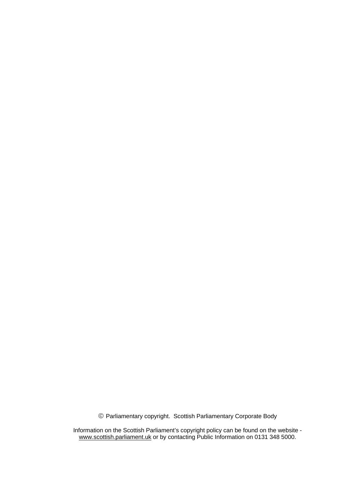© Parliamentary copyright. Scottish Parliamentary Corporate Body

Information on the Scottish Parliament's copyright policy can be found on the website www.scottish.parliament.uk or by contacting Public Information on 0131 348 5000.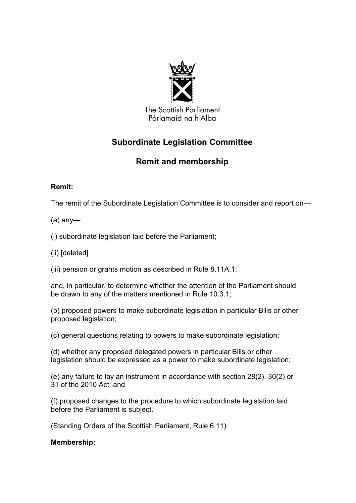

The Scottish Parliament Pàrlamaid na h-Alba

# **Subordinate Legislation Committee**

# **Remit and membership**

# **Remit:**

The remit of the Subordinate Legislation Committee is to consider and report on—

# (a) any—

(i) subordinate legislation laid before the Parliament;

(ii) [deleted]

(iii) pension or grants motion as described in Rule 8.11A.1;

and, in particular, to determine whether the attention of the Parliament should be drawn to any of the matters mentioned in Rule 10.3.1;

(b) proposed powers to make subordinate legislation in particular Bills or other proposed legislation;

(c) general questions relating to powers to make subordinate legislation;

(d) whether any proposed delegated powers in particular Bills or other legislation should be expressed as a power to make subordinate legislation;

(e) any failure to lay an instrument in accordance with section 28(2), 30(2) or 31 of the 2010 Act; and

(f) proposed changes to the procedure to which subordinate legislation laid before the Parliament is subject.

(Standing Orders of the Scottish Parliament, Rule 6.11)

**Membership:**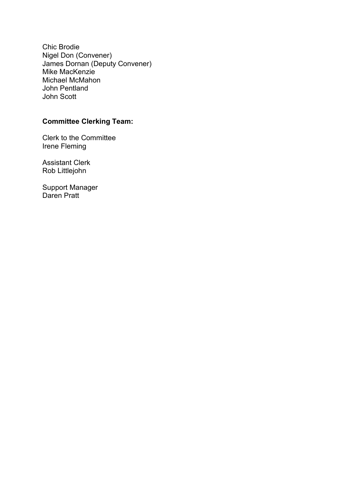Chic Brodie Nigel Don (Convener) James Dornan (Deputy Convener) Mike MacKenzie Michael McMahon John Pentland John Scott

# **Committee Clerking Team:**

Clerk to the Committee Irene Fleming

Assistant Clerk Rob Littlejohn

Support Manager Daren Pratt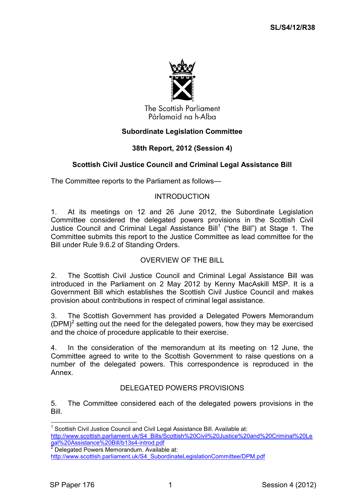

The Scottish Parliament Pàrlamaid na h-Alba

# **Subordinate Legislation Committee**

# **38th Report, 2012 (Session 4)**

#### **Scottish Civil Justice Council and Criminal Legal Assistance Bill**

The Committee reports to the Parliament as follows—

#### INTRODUCTION

1. At its meetings on 12 and 26 June 2012, the Subordinate Legislation Committee considered the delegated powers provisions in the Scottish Civil Justice Council and Criminal Legal Assistance Bill<sup>1</sup> ("the Bill") at Stage 1. The Committee submits this report to the Justice Committee as lead committee for the Bill under Rule 9.6.2 of Standing Orders.

#### OVERVIEW OF THE BILL

2. The Scottish Civil Justice Council and Criminal Legal Assistance Bill was introduced in the Parliament on 2 May 2012 by Kenny MacAskill MSP. It is a Government Bill which establishes the Scottish Civil Justice Council and makes provision about contributions in respect of criminal legal assistance.

3. The Scottish Government has provided a Delegated Powers Memorandum  $(DPM)^2$  setting out the need for the delegated powers, how they may be exercised and the choice of procedure applicable to their exercise.

4. In the consideration of the memorandum at its meeting on 12 June, the Committee agreed to write to the Scottish Government to raise questions on a number of the delegated powers. This correspondence is reproduced in the Annex.

#### DELEGATED POWERS PROVISIONS

5. The Committee considered each of the delegated powers provisions in the Bill.

1

<sup>&</sup>lt;sup>1</sup> Scottish Civil Justice Council and Civil Legal Assistance Bill. Available at: [http://www.scottish.parliament.uk/S4\\_Bills/Scottish%20Civil%20Justice%20and%20Criminal%20Le](http://www.scottish.parliament.uk/S4_Bills/Scottish%20Civil%20Justice%20and%20Criminal%20Legal%20Assistance%20Bill/b13s4-introd.pdf) [gal%20Assistance%20Bill/b13s4-introd.pdf](http://www.scottish.parliament.uk/S4_Bills/Scottish%20Civil%20Justice%20and%20Criminal%20Legal%20Assistance%20Bill/b13s4-introd.pdf)

 $2$  Delegated Powers Memorandum. Available at: [http://www.scottish.parliament.uk/S4\\_SubordinateLegislationCommittee/DPM.pdf](http://www.scottish.parliament.uk/S4_SubordinateLegislationCommittee/DPM.pdf)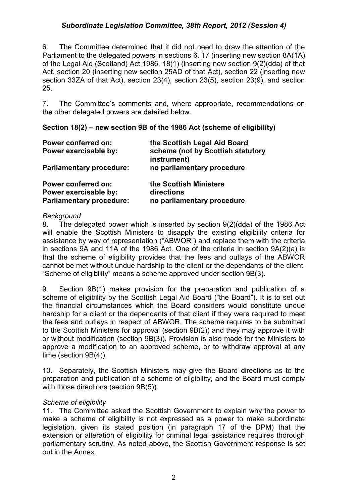6. The Committee determined that it did not need to draw the attention of the Parliament to the delegated powers in sections 6, 17 (inserting new section 8A(1A) of the Legal Aid (Scotland) Act 1986, 18(1) (inserting new section 9(2)(dda) of that Act, section 20 (inserting new section 25AD of that Act), section 22 (inserting new section 33ZA of that Act), section 23(4), section 23(5), section 23(9), and section 25.

7. The Committee's comments and, where appropriate, recommendations on the other delegated powers are detailed below.

#### **Section 18(2) – new section 9B of the 1986 Act (scheme of eligibility)**

| Power conferred on:<br>Power exercisable by: | the Scottish Legal Aid Board<br>scheme (not by Scottish statutory<br>instrument) |  |
|----------------------------------------------|----------------------------------------------------------------------------------|--|
| <b>Parliamentary procedure:</b>              | no parliamentary procedure                                                       |  |
| Power conferred on:                          | the Scottish Ministers                                                           |  |
| Power exercisable by:                        | directions                                                                       |  |
| <b>Parliamentary procedure:</b>              | no parliamentary procedure                                                       |  |

#### *Background*

8. The delegated power which is inserted by section 9(2)(dda) of the 1986 Act will enable the Scottish Ministers to disapply the existing eligibility criteria for assistance by way of representation ("ABWOR") and replace them with the criteria in sections 9A and 11A of the 1986 Act. One of the criteria in section 9A(2)(a) is that the scheme of eligibility provides that the fees and outlays of the ABWOR cannot be met without undue hardship to the client or the dependants of the client. ―Scheme of eligibility‖ means a scheme approved under section 9B(3).

9. Section 9B(1) makes provision for the preparation and publication of a scheme of eligibility by the Scottish Legal Aid Board ("the Board"). It is to set out the financial circumstances which the Board considers would constitute undue hardship for a client or the dependants of that client if they were required to meet the fees and outlays in respect of ABWOR. The scheme requires to be submitted to the Scottish Ministers for approval (section 9B(2)) and they may approve it with or without modification (section 9B(3)). Provision is also made for the Ministers to approve a modification to an approved scheme, or to withdraw approval at any time (section 9B(4)).

10. Separately, the Scottish Ministers may give the Board directions as to the preparation and publication of a scheme of eligibility, and the Board must comply with those directions (section 9B(5)).

#### *Scheme of eligibility*

11. The Committee asked the Scottish Government to explain why the power to make a scheme of eligibility is not expressed as a power to make subordinate legislation, given its stated position (in paragraph 17 of the DPM) that the extension or alteration of eligibility for criminal legal assistance requires thorough parliamentary scrutiny. As noted above, the Scottish Government response is set out in the Annex.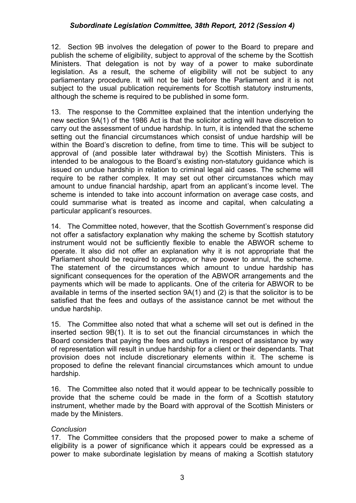12. Section 9B involves the delegation of power to the Board to prepare and publish the scheme of eligibility, subject to approval of the scheme by the Scottish Ministers. That delegation is not by way of a power to make subordinate legislation. As a result, the scheme of eligibility will not be subject to any parliamentary procedure. It will not be laid before the Parliament and it is not subject to the usual publication requirements for Scottish statutory instruments, although the scheme is required to be published in some form.

13. The response to the Committee explained that the intention underlying the new section 9A(1) of the 1986 Act is that the solicitor acting will have discretion to carry out the assessment of undue hardship. In turn, it is intended that the scheme setting out the financial circumstances which consist of undue hardship will be within the Board's discretion to define, from time to time. This will be subject to approval of (and possible later withdrawal by) the Scottish Ministers. This is intended to be analogous to the Board's existing non-statutory guidance which is issued on undue hardship in relation to criminal legal aid cases. The scheme will require to be rather complex. It may set out other circumstances which may amount to undue financial hardship, apart from an applicant's income level. The scheme is intended to take into account information on average case costs, and could summarise what is treated as income and capital, when calculating a particular applicant's resources.

14. The Committee noted, however, that the Scottish Government's response did not offer a satisfactory explanation why making the scheme by Scottish statutory instrument would not be sufficiently flexible to enable the ABWOR scheme to operate. It also did not offer an explanation why it is not appropriate that the Parliament should be required to approve, or have power to annul, the scheme. The statement of the circumstances which amount to undue hardship has significant consequences for the operation of the ABWOR arrangements and the payments which will be made to applicants. One of the criteria for ABWOR to be available in terms of the inserted section 9A(1) and (2) is that the solicitor is to be satisfied that the fees and outlays of the assistance cannot be met without the undue hardship.

15. The Committee also noted that what a scheme will set out is defined in the inserted section 9B(1). It is to set out the financial circumstances in which the Board considers that paying the fees and outlays in respect of assistance by way of representation will result in undue hardship for a client or their dependants. That provision does not include discretionary elements within it. The scheme is proposed to define the relevant financial circumstances which amount to undue hardship.

16. The Committee also noted that it would appear to be technically possible to provide that the scheme could be made in the form of a Scottish statutory instrument, whether made by the Board with approval of the Scottish Ministers or made by the Ministers.

#### *Conclusion*

17. The Committee considers that the proposed power to make a scheme of eligibility is a power of significance which it appears could be expressed as a power to make subordinate legislation by means of making a Scottish statutory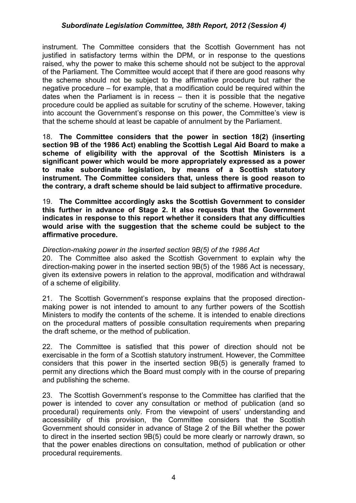instrument. The Committee considers that the Scottish Government has not justified in satisfactory terms within the DPM, or in response to the questions raised, why the power to make this scheme should not be subject to the approval of the Parliament. The Committee would accept that if there are good reasons why the scheme should not be subject to the affirmative procedure but rather the negative procedure – for example, that a modification could be required within the dates when the Parliament is in recess – then it is possible that the negative procedure could be applied as suitable for scrutiny of the scheme. However, taking into account the Government's response on this power, the Committee's view is that the scheme should at least be capable of annulment by the Parliament.

18. **The Committee considers that the power in section 18(2) (inserting section 9B of the 1986 Act) enabling the Scottish Legal Aid Board to make a scheme of eligibility with the approval of the Scottish Ministers is a significant power which would be more appropriately expressed as a power to make subordinate legislation, by means of a Scottish statutory instrument. The Committee considers that, unless there is good reason to the contrary, a draft scheme should be laid subject to affirmative procedure.**

19. **The Committee accordingly asks the Scottish Government to consider this further in advance of Stage 2. It also requests that the Government indicates in response to this report whether it considers that any difficulties would arise with the suggestion that the scheme could be subject to the affirmative procedure.**

#### *Direction-making power in the inserted section 9B(5) of the 1986 Act*

20. The Committee also asked the Scottish Government to explain why the direction-making power in the inserted section 9B(5) of the 1986 Act is necessary, given its extensive powers in relation to the approval, modification and withdrawal of a scheme of eligibility.

21. The Scottish Government's response explains that the proposed directionmaking power is not intended to amount to any further powers of the Scottish Ministers to modify the contents of the scheme. It is intended to enable directions on the procedural matters of possible consultation requirements when preparing the draft scheme, or the method of publication.

22. The Committee is satisfied that this power of direction should not be exercisable in the form of a Scottish statutory instrument. However, the Committee considers that this power in the inserted section 9B(5) is generally framed to permit any directions which the Board must comply with in the course of preparing and publishing the scheme.

23. The Scottish Government's response to the Committee has clarified that the power is intended to cover any consultation or method of publication (and so procedural) requirements only. From the viewpoint of users' understanding and accessibility of this provision, the Committee considers that the Scottish Government should consider in advance of Stage 2 of the Bill whether the power to direct in the inserted section 9B(5) could be more clearly or narrowly drawn, so that the power enables directions on consultation, method of publication or other procedural requirements.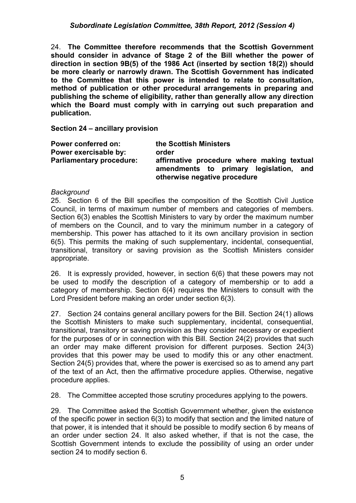24. **The Committee therefore recommends that the Scottish Government should consider in advance of Stage 2 of the Bill whether the power of direction in section 9B(5) of the 1986 Act (inserted by section 18(2)) should be more clearly or narrowly drawn. The Scottish Government has indicated to the Committee that this power is intended to relate to consultation, method of publication or other procedural arrangements in preparing and publishing the scheme of eligibility, rather than generally allow any direction which the Board must comply with in carrying out such preparation and publication.**

**Section 24 – ancillary provision**

| Power conferred on:             | the Scottish Ministers                                                                                                  |
|---------------------------------|-------------------------------------------------------------------------------------------------------------------------|
| Power exercisable by:           | order                                                                                                                   |
| <b>Parliamentary procedure:</b> | affirmative procedure where making textual<br>amendments to primary legislation,<br>and<br>otherwise negative procedure |

#### *Background*

25. Section 6 of the Bill specifies the composition of the Scottish Civil Justice Council, in terms of maximum number of members and categories of members. Section 6(3) enables the Scottish Ministers to vary by order the maximum number of members on the Council, and to vary the minimum number in a category of membership. This power has attached to it its own ancillary provision in section 6(5). This permits the making of such supplementary, incidental, consequential, transitional, transitory or saving provision as the Scottish Ministers consider appropriate.

26. It is expressly provided, however, in section 6(6) that these powers may not be used to modify the description of a category of membership or to add a category of membership. Section 6(4) requires the Ministers to consult with the Lord President before making an order under section 6(3).

27. Section 24 contains general ancillary powers for the Bill. Section 24(1) allows the Scottish Ministers to make such supplementary, incidental, consequential, transitional, transitory or saving provision as they consider necessary or expedient for the purposes of or in connection with this Bill. Section 24(2) provides that such an order may make different provision for different purposes. Section 24(3) provides that this power may be used to modify this or any other enactment. Section 24(5) provides that, where the power is exercised so as to amend any part of the text of an Act, then the affirmative procedure applies. Otherwise, negative procedure applies.

28. The Committee accepted those scrutiny procedures applying to the powers.

29. The Committee asked the Scottish Government whether, given the existence of the specific power in section 6(3) to modify that section and the limited nature of that power, it is intended that it should be possible to modify section 6 by means of an order under section 24. It also asked whether, if that is not the case, the Scottish Government intends to exclude the possibility of using an order under section 24 to modify section 6.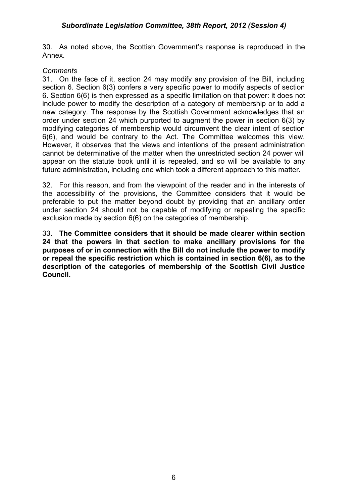30. As noted above, the Scottish Government's response is reproduced in the Annex.

#### *Comments*

31. On the face of it, section 24 may modify any provision of the Bill, including section 6. Section 6(3) confers a very specific power to modify aspects of section 6. Section 6(6) is then expressed as a specific limitation on that power: it does not include power to modify the description of a category of membership or to add a new category. The response by the Scottish Government acknowledges that an order under section 24 which purported to augment the power in section 6(3) by modifying categories of membership would circumvent the clear intent of section 6(6), and would be contrary to the Act. The Committee welcomes this view. However, it observes that the views and intentions of the present administration cannot be determinative of the matter when the unrestricted section 24 power will appear on the statute book until it is repealed, and so will be available to any future administration, including one which took a different approach to this matter.

32. For this reason, and from the viewpoint of the reader and in the interests of the accessibility of the provisions, the Committee considers that it would be preferable to put the matter beyond doubt by providing that an ancillary order under section 24 should not be capable of modifying or repealing the specific exclusion made by section 6(6) on the categories of membership.

33. **The Committee considers that it should be made clearer within section 24 that the powers in that section to make ancillary provisions for the purposes of or in connection with the Bill do not include the power to modify or repeal the specific restriction which is contained in section 6(6), as to the description of the categories of membership of the Scottish Civil Justice Council.**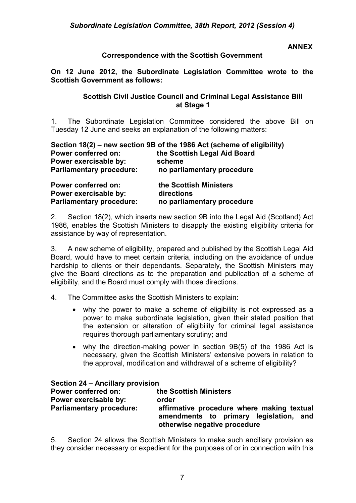#### **ANNEX**

#### **Correspondence with the Scottish Government**

**On 12 June 2012, the Subordinate Legislation Committee wrote to the Scottish Government as follows:**

#### **Scottish Civil Justice Council and Criminal Legal Assistance Bill at Stage 1**

1. The Subordinate Legislation Committee considered the above Bill on Tuesday 12 June and seeks an explanation of the following matters:

| Section 18(2) – new section 9B of the 1986 Act (scheme of eligibility) |                              |  |
|------------------------------------------------------------------------|------------------------------|--|
| <b>Power conferred on:</b>                                             | the Scottish Legal Aid Board |  |
| Power exercisable by:                                                  | scheme                       |  |
| <b>Parliamentary procedure:</b>                                        | no parliamentary procedure   |  |
| <b>Power conferred on:</b>                                             | the Scottish Ministers       |  |
| Power exercisable by:                                                  | directions                   |  |
| <b>Parliamentary procedure:</b>                                        | no parliamentary procedure   |  |

2. Section 18(2), which inserts new section 9B into the Legal Aid (Scotland) Act 1986, enables the Scottish Ministers to disapply the existing eligibility criteria for assistance by way of representation.

3. A new scheme of eligibility, prepared and published by the Scottish Legal Aid Board, would have to meet certain criteria, including on the avoidance of undue hardship to clients or their dependants. Separately, the Scottish Ministers may give the Board directions as to the preparation and publication of a scheme of eligibility, and the Board must comply with those directions.

- 4. The Committee asks the Scottish Ministers to explain:
	- why the power to make a scheme of eligibility is not expressed as a power to make subordinate legislation, given their stated position that the extension or alteration of eligibility for criminal legal assistance requires thorough parliamentary scrutiny; and
	- why the direction-making power in section 9B(5) of the 1986 Act is necessary, given the Scottish Ministers' extensive powers in relation to the approval, modification and withdrawal of a scheme of eligibility?

| Section 24 – Ancillary provision |                                                                                                                         |
|----------------------------------|-------------------------------------------------------------------------------------------------------------------------|
| <b>Power conferred on:</b>       | the Scottish Ministers                                                                                                  |
| Power exercisable by:            | order                                                                                                                   |
| <b>Parliamentary procedure:</b>  | affirmative procedure where making textual<br>amendments to primary legislation,<br>and<br>otherwise negative procedure |

5. Section 24 allows the Scottish Ministers to make such ancillary provision as they consider necessary or expedient for the purposes of or in connection with this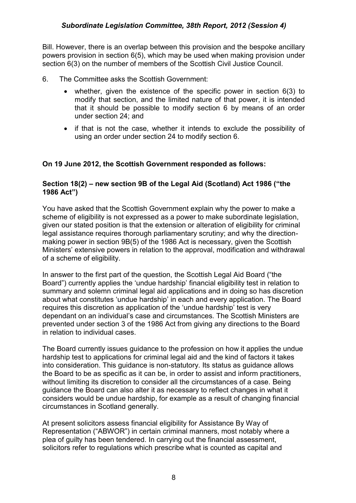Bill. However, there is an overlap between this provision and the bespoke ancillary powers provision in section 6(5), which may be used when making provision under section 6(3) on the number of members of the Scottish Civil Justice Council.

- 6. The Committee asks the Scottish Government:
	- whether, given the existence of the specific power in section 6(3) to modify that section, and the limited nature of that power, it is intended that it should be possible to modify section 6 by means of an order under section 24; and
	- if that is not the case, whether it intends to exclude the possibility of using an order under section 24 to modify section 6.

# **On 19 June 2012, the Scottish Government responded as follows:**

# **Section 18(2) – new section 9B of the Legal Aid (Scotland) Act 1986 ("the 1986 Act")**

You have asked that the Scottish Government explain why the power to make a scheme of eligibility is not expressed as a power to make subordinate legislation, given our stated position is that the extension or alteration of eligibility for criminal legal assistance requires thorough parliamentary scrutiny; and why the directionmaking power in section 9B(5) of the 1986 Act is necessary, given the Scottish Ministers' extensive powers in relation to the approval, modification and withdrawal of a scheme of eligibility.

In answer to the first part of the question, the Scottish Legal Aid Board ("the Board") currently applies the 'undue hardship' financial eligibility test in relation to summary and solemn criminal legal aid applications and in doing so has discretion about what constitutes 'undue hardship' in each and every application. The Board requires this discretion as application of the 'undue hardship' test is very dependant on an individual's case and circumstances. The Scottish Ministers are prevented under section 3 of the 1986 Act from giving any directions to the Board in relation to individual cases.

The Board currently issues guidance to the profession on how it applies the undue hardship test to applications for criminal legal aid and the kind of factors it takes into consideration. This guidance is non-statutory. Its status as guidance allows the Board to be as specific as it can be, in order to assist and inform practitioners, without limiting its discretion to consider all the circumstances of a case. Being guidance the Board can also alter it as necessary to reflect changes in what it considers would be undue hardship, for example as a result of changing financial circumstances in Scotland generally.

At present solicitors assess financial eligibility for Assistance By Way of Representation ("ABWOR") in certain criminal manners, most notably where a plea of guilty has been tendered. In carrying out the financial assessment, solicitors refer to regulations which prescribe what is counted as capital and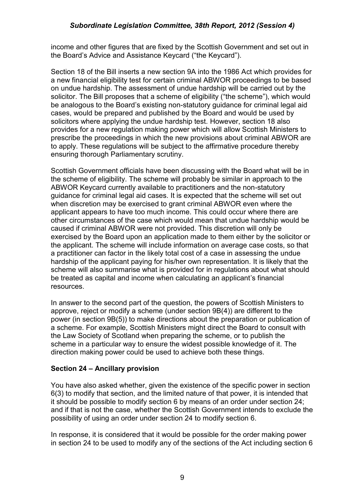income and other figures that are fixed by the Scottish Government and set out in the Board's Advice and Assistance Keycard ("the Keycard").

Section 18 of the Bill inserts a new section 9A into the 1986 Act which provides for a new financial eligibility test for certain criminal ABWOR proceedings to be based on undue hardship. The assessment of undue hardship will be carried out by the solicitor. The Bill proposes that a scheme of eligibility ("the scheme"), which would be analogous to the Board's existing non-statutory guidance for criminal legal aid cases, would be prepared and published by the Board and would be used by solicitors where applying the undue hardship test. However, section 18 also provides for a new regulation making power which will allow Scottish Ministers to prescribe the proceedings in which the new provisions about criminal ABWOR are to apply. These regulations will be subject to the affirmative procedure thereby ensuring thorough Parliamentary scrutiny.

Scottish Government officials have been discussing with the Board what will be in the scheme of eligibility. The scheme will probably be similar in approach to the ABWOR Keycard currently available to practitioners and the non-statutory guidance for criminal legal aid cases. It is expected that the scheme will set out when discretion may be exercised to grant criminal ABWOR even where the applicant appears to have too much income. This could occur where there are other circumstances of the case which would mean that undue hardship would be caused if criminal ABWOR were not provided. This discretion will only be exercised by the Board upon an application made to them either by the solicitor or the applicant. The scheme will include information on average case costs, so that a practitioner can factor in the likely total cost of a case in assessing the undue hardship of the applicant paying for his/her own representation. It is likely that the scheme will also summarise what is provided for in regulations about what should be treated as capital and income when calculating an applicant's financial resources.

In answer to the second part of the question, the powers of Scottish Ministers to approve, reject or modify a scheme (under section 9B(4)) are different to the power (in section 9B(5)) to make directions about the preparation or publication of a scheme. For example, Scottish Ministers might direct the Board to consult with the Law Society of Scotland when preparing the scheme, or to publish the scheme in a particular way to ensure the widest possible knowledge of it. The direction making power could be used to achieve both these things.

#### **Section 24 – Ancillary provision**

You have also asked whether, given the existence of the specific power in section 6(3) to modify that section, and the limited nature of that power, it is intended that it should be possible to modify section 6 by means of an order under section 24; and if that is not the case, whether the Scottish Government intends to exclude the possibility of using an order under section 24 to modify section 6.

In response, it is considered that it would be possible for the order making power in section 24 to be used to modify any of the sections of the Act including section 6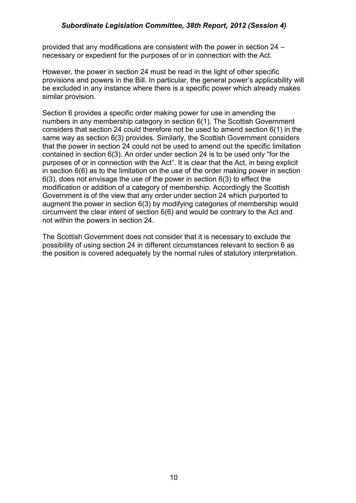provided that any modifications are consistent with the power in section 24 – necessary or expedient for the purposes of or in connection with the Act.

However, the power in section 24 must be read in the light of other specific provisions and powers in the Bill. In particular, the general power's applicability will be excluded in any instance where there is a specific power which already makes similar provision.

Section 6 provides a specific order making power for use in amending the numbers in any membership category in section 6(1). The Scottish Government considers that section 24 could therefore not be used to amend section 6(1) in the same way as section 6(3) provides. Similarly, the Scottish Government considers that the power in section 24 could not be used to amend out the specific limitation contained in section  $6(3)$ . An order under section 24 is to be used only "for the purposes of or in connection with the Act". It is clear that the Act, in being explicit in section 6(6) as to the limitation on the use of the order making power in section 6(3), does not envisage the use of the power in section 6(3) to effect the modification or addition of a category of membership. Accordingly the Scottish Government is of the view that any order under section 24 which purported to augment the power in section 6(3) by modifying categories of membership would circumvent the clear intent of section 6(6) and would be contrary to the Act and not within the powers in section 24.

The Scottish Government does not consider that it is necessary to exclude the possibility of using section 24 in different circumstances relevant to section 6 as the position is covered adequately by the normal rules of statutory interpretation.